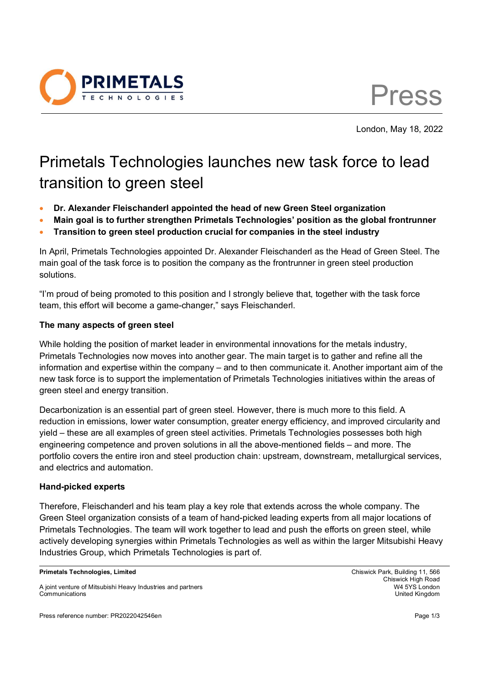

Press

London, May 18, 2022

# Primetals Technologies launches new task force to lead transition to green steel

- **Dr. Alexander Fleischanderl appointed the head of new Green Steel organization**
- **Main goal is to further strengthen Primetals Technologies' position as the global frontrunner**
- **Transition to green steel production crucial for companies in the steel industry**

In April, Primetals Technologies appointed Dr. Alexander Fleischanderl as the Head of Green Steel. The main goal of the task force is to position the company as the frontrunner in green steel production solutions.

"I'm proud of being promoted to this position and I strongly believe that, together with the task force team, this effort will become a game-changer," says Fleischanderl.

## **The many aspects of green steel**

While holding the position of market leader in environmental innovations for the metals industry, Primetals Technologies now moves into another gear. The main target is to gather and refine all the information and expertise within the company – and to then communicate it. Another important aim of the new task force is to support the implementation of Primetals Technologies initiatives within the areas of green steel and energy transition.

Decarbonization is an essential part of green steel. However, there is much more to this field. A reduction in emissions, lower water consumption, greater energy efficiency, and improved circularity and yield – these are all examples of green steel activities. Primetals Technologies possesses both high engineering competence and proven solutions in all the above-mentioned fields – and more. The portfolio covers the entire iron and steel production chain: upstream, downstream, metallurgical services, and electrics and automation.

## **Hand-picked experts**

Therefore, Fleischanderl and his team play a key role that extends across the whole company. The Green Steel organization consists of a team of hand-picked leading experts from all major locations of Primetals Technologies. The team will work together to lead and push the efforts on green steel, while actively developing synergies within Primetals Technologies as well as within the larger Mitsubishi Heavy Industries Group, which Primetals Technologies is part of.

**Primetals Technologies, Limited** Chiswick Park, Building 11, 566

Press reference number: PR2022042546en Page 1/3

A joint venture of Mitsubishi Heavy Industries and partners W4 5YS London Communications United Kingdom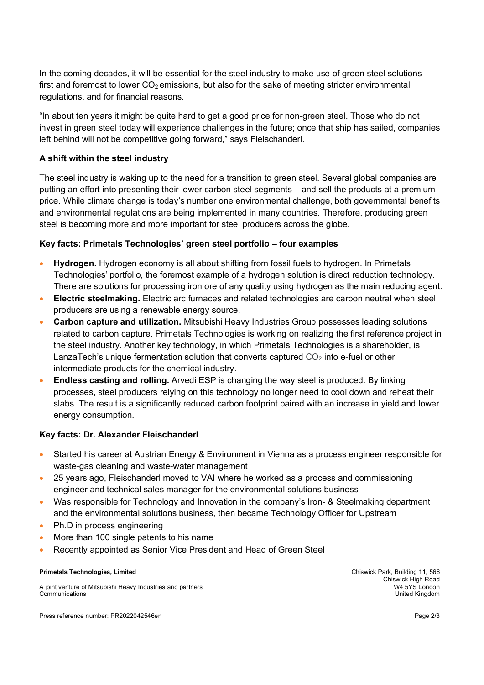In the coming decades, it will be essential for the steel industry to make use of green steel solutions – first and foremost to lower  $CO<sub>2</sub>$  emissions, but also for the sake of meeting stricter environmental regulations, and for financial reasons.

"In about ten years it might be quite hard to get a good price for non-green steel. Those who do not invest in green steel today will experience challenges in the future; once that ship has sailed, companies left behind will not be competitive going forward," says Fleischanderl.

## **A shift within the steel industry**

The steel industry is waking up to the need for a transition to green steel. Several global companies are putting an effort into presenting their lower carbon steel segments – and sell the products at a premium price. While climate change is today's number one environmental challenge, both governmental benefits and environmental regulations are being implemented in many countries. Therefore, producing green steel is becoming more and more important for steel producers across the globe.

#### **Key facts: Primetals Technologies' green steel portfolio – four examples**

- **Hydrogen.** Hydrogen economy is all about shifting from fossil fuels to hydrogen. In Primetals Technologies' portfolio, the foremost example of a hydrogen solution is direct reduction technology. There are solutions for processing iron ore of any quality using hydrogen as the main reducing agent.
- **Electric steelmaking.** Electric arc furnaces and related technologies are carbon neutral when steel producers are using a renewable energy source.
- **Carbon capture and utilization.** Mitsubishi Heavy Industries Group possesses leading solutions related to carbon capture. Primetals Technologies is working on realizing the first reference project in the steel industry. Another key technology, in which Primetals Technologies is a shareholder, is LanzaTech's unique fermentation solution that converts captured  $CO<sub>2</sub>$  into e-fuel or other intermediate products for the chemical industry.
- **Endless casting and rolling.** Arvedi ESP is changing the way steel is produced. By linking processes, steel producers relying on this technology no longer need to cool down and reheat their slabs. The result is a significantly reduced carbon footprint paired with an increase in yield and lower energy consumption.

#### **Key facts: Dr. Alexander Fleischanderl**

- Started his career at Austrian Energy & Environment in Vienna as a process engineer responsible for waste-gas cleaning and waste-water management
- 25 years ago, Fleischanderl moved to VAI where he worked as a process and commissioning engineer and technical sales manager for the environmental solutions business
- Was responsible for Technology and Innovation in the company's Iron- & Steelmaking department and the environmental solutions business, then became Technology Officer for Upstream
- Ph.D in process engineering
- More than 100 single patents to his name
- Recently appointed as Senior Vice President and Head of Green Steel

#### **Primetals Technologies, Limited** Chiswick Park, Building 11, 566

A joint venture of Mitsubishi Heavy Industries and partners W4 5YS London Communications United Kingdom

Chiswick High Road